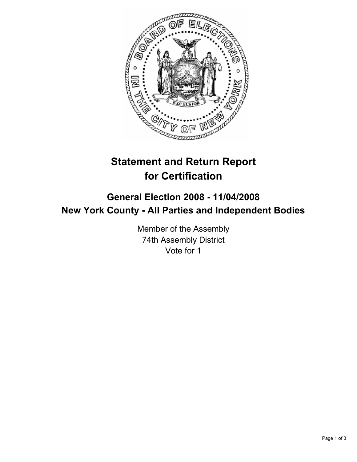

# **Statement and Return Report for Certification**

## **General Election 2008 - 11/04/2008 New York County - All Parties and Independent Bodies**

Member of the Assembly 74th Assembly District Vote for 1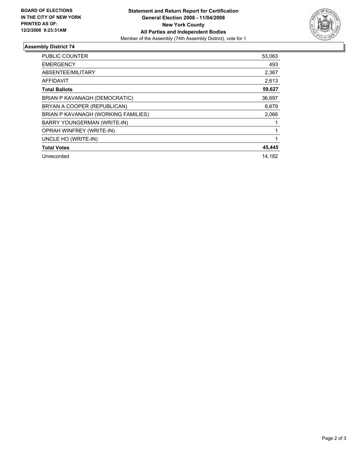

### **Assembly District 74**

| <b>PUBLIC COUNTER</b>               | 53,063 |
|-------------------------------------|--------|
| <b>EMERGENCY</b>                    | 493    |
| ABSENTEE/MILITARY                   | 2,367  |
| <b>AFFIDAVIT</b>                    | 2,613  |
| <b>Total Ballots</b>                | 59,627 |
| BRIAN P KAVANAGH (DEMOCRATIC)       | 36,697 |
| BRYAN A COOPER (REPUBLICAN)         | 6,679  |
| BRIAN P KAVANAGH (WORKING FAMILIES) | 2,066  |
| BARRY YOUNGERMAN (WRITE-IN)         |        |
| OPRAH WINFREY (WRITE-IN)            |        |
| UNCLE HO (WRITE-IN)                 |        |
| <b>Total Votes</b>                  | 45,445 |
| Unrecorded                          | 14,182 |